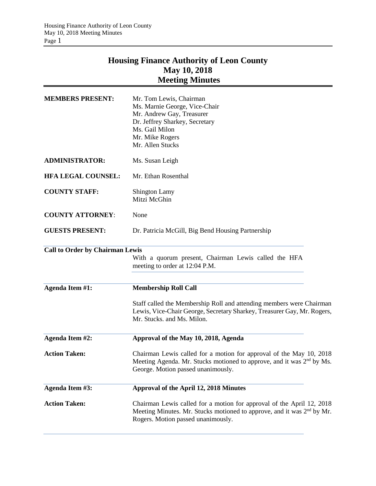# **Housing Finance Authority of Leon County May 10, 2018 Meeting Minutes**

| <b>MEMBERS PRESENT:</b>                | Mr. Tom Lewis, Chairman<br>Ms. Marnie George, Vice-Chair<br>Mr. Andrew Gay, Treasurer<br>Dr. Jeffrey Sharkey, Secretary<br>Ms. Gail Milon<br>Mr. Mike Rogers<br>Mr. Allen Stucks                  |  |  |
|----------------------------------------|---------------------------------------------------------------------------------------------------------------------------------------------------------------------------------------------------|--|--|
| <b>ADMINISTRATOR:</b>                  | Ms. Susan Leigh                                                                                                                                                                                   |  |  |
| <b>HFA LEGAL COUNSEL:</b>              | Mr. Ethan Rosenthal                                                                                                                                                                               |  |  |
| <b>COUNTY STAFF:</b>                   | <b>Shington Lamy</b><br>Mitzi McGhin                                                                                                                                                              |  |  |
| <b>COUNTY ATTORNEY:</b>                | None                                                                                                                                                                                              |  |  |
| <b>GUESTS PRESENT:</b>                 | Dr. Patricia McGill, Big Bend Housing Partnership                                                                                                                                                 |  |  |
| <b>Call to Order by Chairman Lewis</b> | With a quorum present, Chairman Lewis called the HFA<br>meeting to order at 12:04 P.M.                                                                                                            |  |  |
| Agenda Item #1:                        | <b>Membership Roll Call</b>                                                                                                                                                                       |  |  |
|                                        | Staff called the Membership Roll and attending members were Chairman<br>Lewis, Vice-Chair George, Secretary Sharkey, Treasurer Gay, Mr. Rogers,<br>Mr. Stucks. and Ms. Milon.                     |  |  |
| <b>Agenda Item #2:</b>                 | Approval of the May 10, 2018, Agenda                                                                                                                                                              |  |  |
| <b>Action Taken:</b>                   | Chairman Lewis called for a motion for approval of the May 10, 2018<br>Meeting Agenda. Mr. Stucks motioned to approve, and it was 2 <sup>nd</sup> by Ms.<br>George. Motion passed unanimously.    |  |  |
| <b>Agenda Item #3:</b>                 | Approval of the April 12, 2018 Minutes                                                                                                                                                            |  |  |
| <b>Action Taken:</b>                   | Chairman Lewis called for a motion for approval of the April 12, 2018<br>Meeting Minutes. Mr. Stucks motioned to approve, and it was 2 <sup>nd</sup> by Mr.<br>Rogers. Motion passed unanimously. |  |  |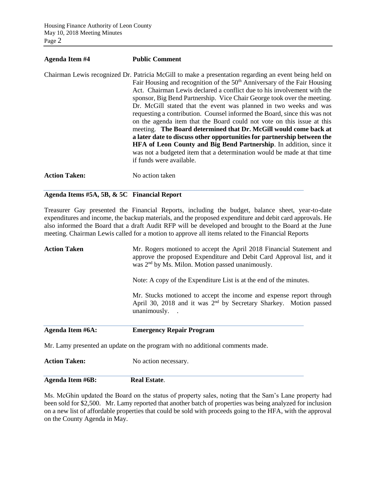| Agenda Item #4       | <b>Public Comment</b>                                                                                                                                                                                                                                                                                                                                                                                                                                                                                                                                                                                                                                                                                                                                                                                                                                                                                              |
|----------------------|--------------------------------------------------------------------------------------------------------------------------------------------------------------------------------------------------------------------------------------------------------------------------------------------------------------------------------------------------------------------------------------------------------------------------------------------------------------------------------------------------------------------------------------------------------------------------------------------------------------------------------------------------------------------------------------------------------------------------------------------------------------------------------------------------------------------------------------------------------------------------------------------------------------------|
|                      | Chairman Lewis recognized Dr. Patricia McGill to make a presentation regarding an event being held on<br>Fair Housing and recognition of the 50 <sup>th</sup> Anniversary of the Fair Housing<br>Act. Chairman Lewis declared a conflict due to his involvement with the<br>sponsor, Big Bend Partnership. Vice Chair George took over the meeting.<br>Dr. McGill stated that the event was planned in two weeks and was<br>requesting a contribution. Counsel informed the Board, since this was not<br>on the agenda item that the Board could not vote on this issue at this<br>meeting. The Board determined that Dr. McGill would come back at<br>a later date to discuss other opportunities for partnership between the<br><b>HFA</b> of Leon County and Big Bend Partnership. In addition, since it<br>was not a budgeted item that a determination would be made at that time<br>if funds were available. |
| <b>Action Taken:</b> | No action taken                                                                                                                                                                                                                                                                                                                                                                                                                                                                                                                                                                                                                                                                                                                                                                                                                                                                                                    |

## **Agenda Items #5A, 5B, & 5C Financial Report**

Treasurer Gay presented the Financial Reports, including the budget, balance sheet, year-to-date expenditures and income, the backup materials, and the proposed expenditure and debit card approvals. He also informed the Board that a draft Audit RFP will be developed and brought to the Board at the June meeting. Chairman Lewis called for a motion to approve all items related to the Financial Reports

| Agenda Item #6A:    | <b>Emergency Repair Program</b>                                                                                                                                                                               |  |  |
|---------------------|---------------------------------------------------------------------------------------------------------------------------------------------------------------------------------------------------------------|--|--|
|                     | Mr. Stucks motioned to accept the income and expense report through<br>April 30, 2018 and it was $2nd$ by Secretary Sharkey. Motion passed<br>unanimously. .                                                  |  |  |
|                     | Note: A copy of the Expenditure List is at the end of the minutes.                                                                                                                                            |  |  |
| <b>Action Taken</b> | Mr. Rogers motioned to accept the April 2018 Financial Statement and<br>approve the proposed Expenditure and Debit Card Approval list, and it<br>was 2 <sup>nd</sup> by Ms. Milon. Motion passed unanimously. |  |  |

Mr. Lamy presented an update on the program with no additional comments made.

**Action Taken:** No action necessary.

**Agenda Item #6B: Real Estate**.

Ms. McGhin updated the Board on the status of property sales, noting that the Sam's Lane property had been sold for \$2,500. Mr. Lamy reported that another batch of properties was being analyzed for inclusion on a new list of affordable properties that could be sold with proceeds going to the HFA, with the approval on the County Agenda in May.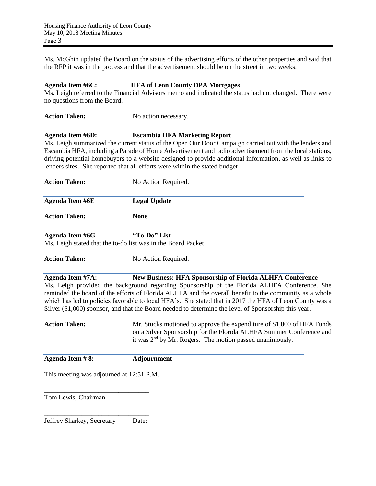Ms. McGhin updated the Board on the status of the advertising efforts of the other properties and said that the RFP it was in the process and that the advertisement should be on the street in two weeks.

#### **Agenda Item #6C: HFA of Leon County DPA Mortgages**

Ms. Leigh referred to the Financial Advisors memo and indicated the status had not changed. There were no questions from the Board.

**Action Taken:** No action necessary.

Action Taken: No Action Required.

## **Agenda Item #6D: Escambia HFA Marketing Report**

Ms. Leigh summarized the current status of the Open Our Door Campaign carried out with the lenders and Escambia HFA, including a Parade of Home Advertisement and radio advertisement from the local stations, driving potential homebuyers to a website designed to provide additional information, as well as links to lenders sites. She reported that all efforts were within the stated budget

| <b>Action Taken:</b> | No Action Required.                                           |  |
|----------------------|---------------------------------------------------------------|--|
| Agenda Item #6E      | <b>Legal Update</b>                                           |  |
| <b>Action Taken:</b> | <b>None</b>                                                   |  |
| Agenda Item #6G      | "To-Do" List                                                  |  |
|                      | Ms. Leigh stated that the to-do list was in the Board Packet. |  |

**Agenda Item #7A: New Business: HFA Sponsorship of Florida ALHFA Conference** Ms. Leigh provided the background regarding Sponsorship of the Florida ALHFA Conference. She reminded the board of the efforts of Florida ALHFA and the overall benefit to the community as a whole which has led to policies favorable to local HFA's. She stated that in 2017 the HFA of Leon County was a Silver (\$1,000) sponsor, and that the Board needed to determine the level of Sponsorship this year.

Action Taken: Mr. Stucks motioned to approve the expenditure of \$1,000 of HFA Funds on a Silver Sponsorship for the Florida ALHFA Summer Conference and it was 2nd by Mr. Rogers. The motion passed unanimously.

**Agenda Item # 8: Adjournment**

This meeting was adjourned at 12:51 P.M.

Tom Lewis, Chairman

\_\_\_\_\_\_\_\_\_\_\_\_\_\_\_\_\_\_\_\_\_\_\_\_\_\_\_\_\_\_\_ Jeffrey Sharkey, Secretary Date:

\_\_\_\_\_\_\_\_\_\_\_\_\_\_\_\_\_\_\_\_\_\_\_\_\_\_\_\_\_\_\_